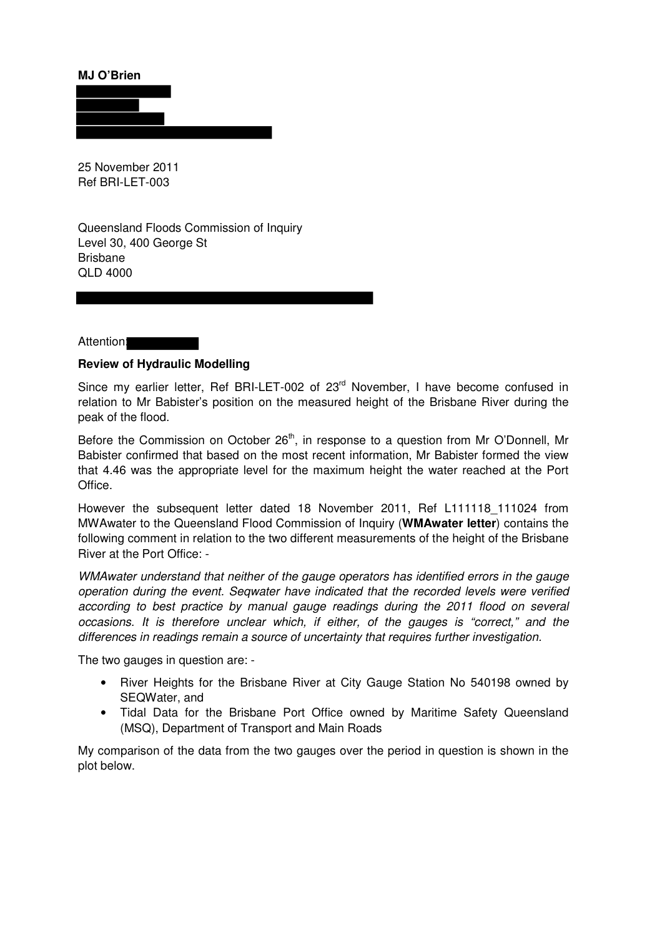**MJ O'Brien** 



25 November 2011 Ref BRI-LET-003

Queensland Floods Commission of Inquiry Level 30, 400 George St Brisbane QLD 4000

Attention:

## **Review of Hydraulic Modelling**

Since my earlier letter, Ref BRI-LET-002 of 23<sup>rd</sup> November, I have become confused in relation to Mr Babister's position on the measured height of the Brisbane River during the peak of the flood.

Before the Commission on October 26<sup>th</sup>, in response to a question from Mr O'Donnell, Mr Babister confirmed that based on the most recent information, Mr Babister formed the view that 4.46 was the appropriate level for the maximum height the water reached at the Port Office.

However the subsequent letter dated 18 November 2011, Ref L111118\_111024 from MWAwater to the Queensland Flood Commission of Inquiry (**WMAwater letter**) contains the following comment in relation to the two different measurements of the height of the Brisbane River at the Port Office: -

WMAwater understand that neither of the gauge operators has identified errors in the gauge operation during the event. Seqwater have indicated that the recorded levels were verified according to best practice by manual gauge readings during the 2011 flood on several occasions. It is therefore unclear which, if either, of the gauges is "correct," and the differences in readings remain a source of uncertainty that requires further investigation.

The two gauges in question are: -

- River Heights for the Brisbane River at City Gauge Station No 540198 owned by SEQWater, and
- Tidal Data for the Brisbane Port Office owned by Maritime Safety Queensland (MSQ), Department of Transport and Main Roads

My comparison of the data from the two gauges over the period in question is shown in the plot below.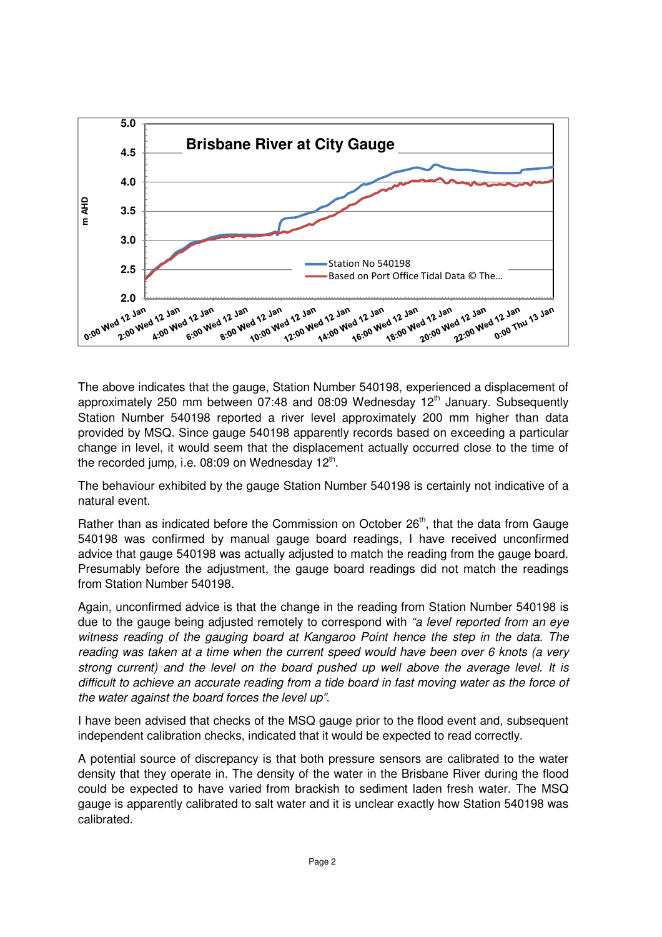

The above indicates that the gauge, Station Number 540198, experienced a displacement of approximately 250 mm between 07:48 and 08:09 Wednesday  $12<sup>th</sup>$  January. Subsequently Station Number 540198 reported a river level approximately 200 mm higher than data provided by MSQ. Since gauge 540198 apparently records based on exceeding a particular change in level, it would seem that the displacement actually occurred close to the time of the recorded jump, i.e. 08:09 on Wednesday  $12^{th}$ .

The behaviour exhibited by the gauge Station Number 540198 is certainly not indicative of a natural event.

Rather than as indicated before the Commission on October  $26<sup>th</sup>$ , that the data from Gauge 540198 was confirmed by manual gauge board readings, I have received unconfirmed advice that gauge 540198 was actually adjusted to match the reading from the gauge board. Presumably before the adjustment, the gauge board readings did not match the readings from Station Number 540198.

Again, unconfirmed advice is that the change in the reading from Station Number 540198 is due to the gauge being adjusted remotely to correspond with "a level reported from an eye witness reading of the gauging board at Kangaroo Point hence the step in the data. The reading was taken at a time when the current speed would have been over 6 knots (a very strong current) and the level on the board pushed up well above the average level. It is difficult to achieve an accurate reading from a tide board in fast moving water as the force of the water against the board forces the level up".

I have been advised that checks of the MSQ gauge prior to the flood event and, subsequent independent calibration checks, indicated that it would be expected to read correctly.

A potential source of discrepancy is that both pressure sensors are calibrated to the water density that they operate in. The density of the water in the Brisbane River during the flood could be expected to have varied from brackish to sediment laden fresh water. The MSQ gauge is apparently calibrated to salt water and it is unclear exactly how Station 540198 was calibrated.